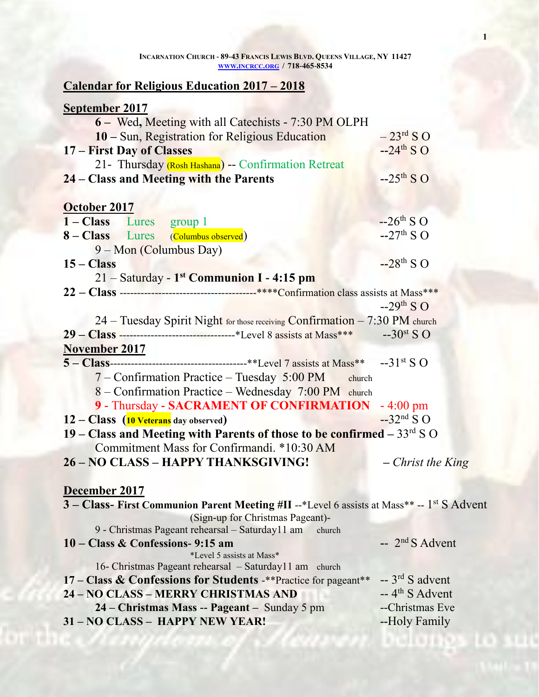| INCARNATION CHURCH - 89-43 FRANCIS LEWIS BLVD. QUEENS VILLAGE, NY 11427 |  |
|-------------------------------------------------------------------------|--|
| WWW.INCRCC.ORG / 718-465-8534                                           |  |

# **Calendar for Religious Education 2017 – 2018**

| 6 – Wed, Meeting with all Catechists - 7:30 PM OLPH<br>10 – Sun, Registration for Religious Education  | $-23$ <sup>rd</sup> S O     |
|--------------------------------------------------------------------------------------------------------|-----------------------------|
| 17 – First Day of Classes                                                                              | $-24$ <sup>th</sup> S O     |
| 21- Thursday (Rosh Hashana) -- Confirmation Retreat                                                    |                             |
| 24 – Class and Meeting with the Parents                                                                | $-25$ <sup>th</sup> SO      |
| October 2017                                                                                           |                             |
| 1 – Class Lures<br>group 1                                                                             | $-26$ <sup>th</sup> S O     |
| 8 - Class Lures (Columbus observed)                                                                    | $-27th$ S O                 |
| 9 – Mon (Columbus Day)                                                                                 |                             |
| $15 - Class$                                                                                           | $-28$ <sup>th</sup> S O     |
| 21 - Saturday - 1 <sup>st</sup> Communion I - 4:15 pm                                                  |                             |
|                                                                                                        |                             |
|                                                                                                        | $-29$ <sup>th</sup> S O     |
| 24 – Tuesday Spirit Night for those receiving Confirmation – 7:30 PM church                            |                             |
|                                                                                                        |                             |
| <b>November 2017</b>                                                                                   |                             |
|                                                                                                        |                             |
| 7 – Confirmation Practice – Tuesday 5:00 PM<br>church                                                  |                             |
| 8 – Confirmation Practice – Wednesday 7:00 PM church                                                   |                             |
| 9 - Thursday - SACRAMENT OF CONFIRMATION - 4:00 pm                                                     |                             |
| 12 – Class (10 Veterans day observed)                                                                  | $-32nd$ S O                 |
| 19 – Class and Meeting with Parents of those to be confirmed $-33^{rd}$ S O                            |                             |
| Commitment Mass for Confirmandi. *10:30 AM                                                             |                             |
| 26 - NO CLASS - HAPPY THANKSGIVING!                                                                    | $-$ Christ the King         |
| December 2017                                                                                          |                             |
| 3 – Class- First Communion Parent Meeting #II --*Level 6 assists at Mass** -- 1 <sup>st</sup> S Advent |                             |
| (Sign-up for Christmas Pageant)-                                                                       |                             |
| 9 - Christmas Pageant rehearsal - Saturday11 am<br>church                                              |                             |
| 10 – Class & Confessions- 9:15 am<br>*Level 5 assists at Mass*                                         | $-2^{nd} S$ Advent          |
| 16- Christmas Pageant rehearsal - Saturday11 am church                                                 |                             |
| 17 – Class & Confessions for Students -** Practice for pageant**                                       | $-3^{rd}$ S advent          |
| 24 - NO CLASS - MERRY CHRISTMAS AND                                                                    | $-4$ <sup>th</sup> S Advent |
| 24 – Christmas Mass -- Pageant – Sunday 5 pm                                                           | --Christmas Eve             |
| 31 - NO CLASS - HAPPY NEW YEAR!                                                                        | --Holy Family               |